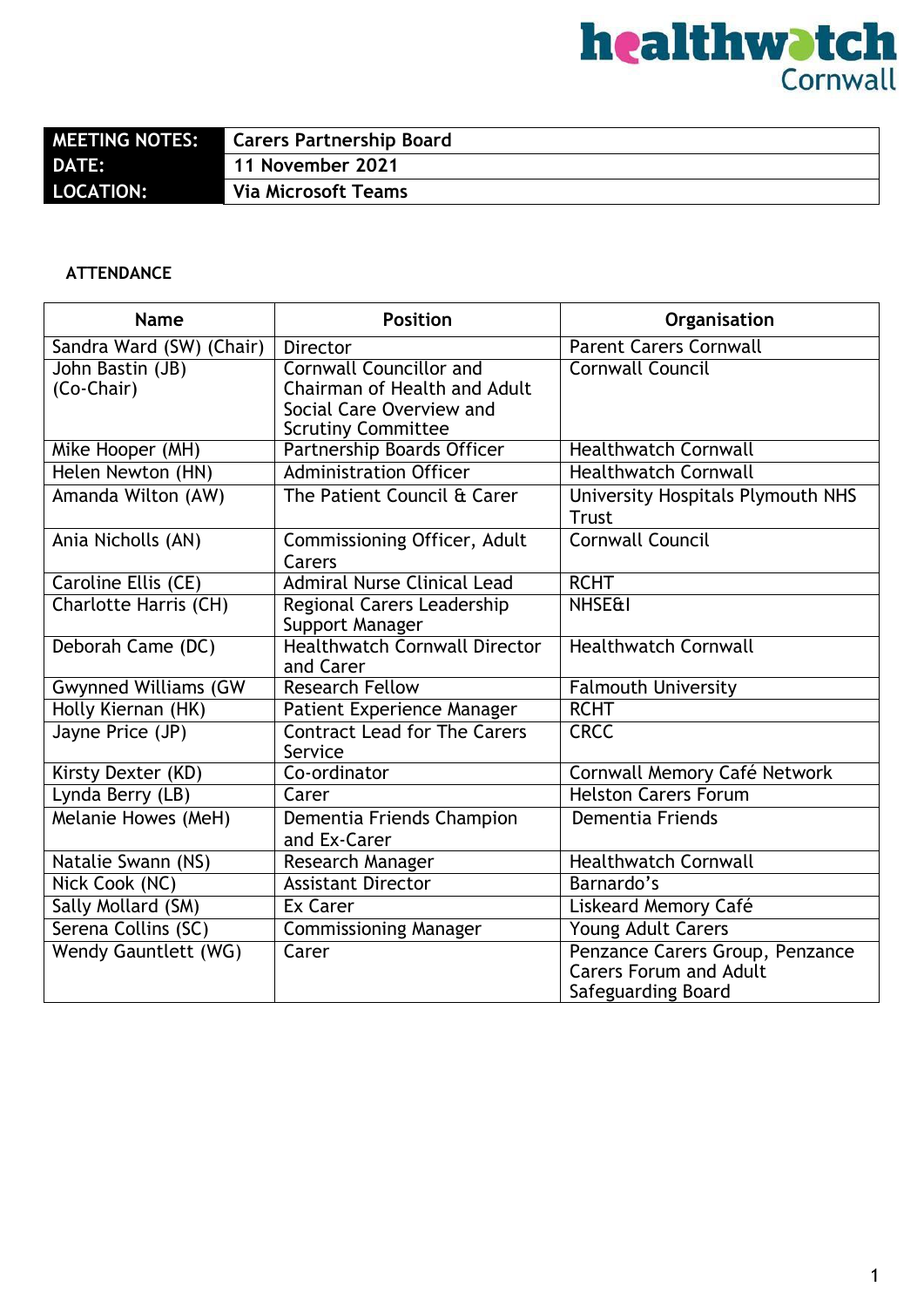|                  | <b>Carers Partnership Board</b> |
|------------------|---------------------------------|
| <b>DATE:</b>     | 11 November 2021                |
| <b>LOCATION:</b> | <b>Via Microsoft Teams</b>      |

#### **ATTENDANCE**

| <b>Name</b>                    | <b>Position</b>                                                                                                         | Organisation                                                                           |
|--------------------------------|-------------------------------------------------------------------------------------------------------------------------|----------------------------------------------------------------------------------------|
| Sandra Ward (SW)<br>(Chair)    | <b>Director</b>                                                                                                         | <b>Parent Carers Cornwall</b>                                                          |
| John Bastin (JB)<br>(Co-Chair) | <b>Cornwall Councillor and</b><br>Chairman of Health and Adult<br>Social Care Overview and<br><b>Scrutiny Committee</b> | <b>Cornwall Council</b>                                                                |
| Mike Hooper (MH)               | Partnership Boards Officer                                                                                              | <b>Healthwatch Cornwall</b>                                                            |
| Helen Newton (HN)              | <b>Administration Officer</b>                                                                                           | <b>Healthwatch Cornwall</b>                                                            |
| Amanda Wilton (AW)             | The Patient Council & Carer                                                                                             | University Hospitals Plymouth NHS<br><b>Trust</b>                                      |
| Ania Nicholls (AN)             | Commissioning Officer, Adult<br>Carers                                                                                  | <b>Cornwall Council</b>                                                                |
| Caroline Ellis (CE)            | <b>Admiral Nurse Clinical Lead</b>                                                                                      | <b>RCHT</b>                                                                            |
| Charlotte Harris (CH)          | Regional Carers Leadership<br>Support Manager                                                                           | <b>NHSE&amp;I</b>                                                                      |
| Deborah Came (DC)              | <b>Healthwatch Cornwall Director</b><br>and Carer                                                                       | <b>Healthwatch Cornwall</b>                                                            |
| <b>Gwynned Williams (GW</b>    | <b>Research Fellow</b>                                                                                                  | <b>Falmouth University</b>                                                             |
| Holly Kiernan (HK)             | Patient Experience Manager                                                                                              | <b>RCHT</b>                                                                            |
| Jayne Price (JP)               | <b>Contract Lead for The Carers</b><br>Service                                                                          | <b>CRCC</b>                                                                            |
| Kirsty Dexter (KD)             | Co-ordinator                                                                                                            | Cornwall Memory Café Network                                                           |
| Lynda Berry (LB)               | Carer                                                                                                                   | <b>Helston Carers Forum</b>                                                            |
| Melanie Howes (MeH)            | Dementia Friends Champion<br>and Ex-Carer                                                                               | Dementia Friends                                                                       |
| Natalie Swann (NS)             | Research Manager                                                                                                        | <b>Healthwatch Cornwall</b>                                                            |
| Nick Cook (NC)                 | <b>Assistant Director</b>                                                                                               | Barnardo's                                                                             |
| Sally Mollard (SM)             | <b>Ex Carer</b>                                                                                                         | Liskeard Memory Café                                                                   |
| Serena Collins (SC)            | <b>Commissioning Manager</b>                                                                                            | Young Adult Carers                                                                     |
| <b>Wendy Gauntlett (WG)</b>    | Carer                                                                                                                   | Penzance Carers Group, Penzance<br><b>Carers Forum and Adult</b><br>Safeguarding Board |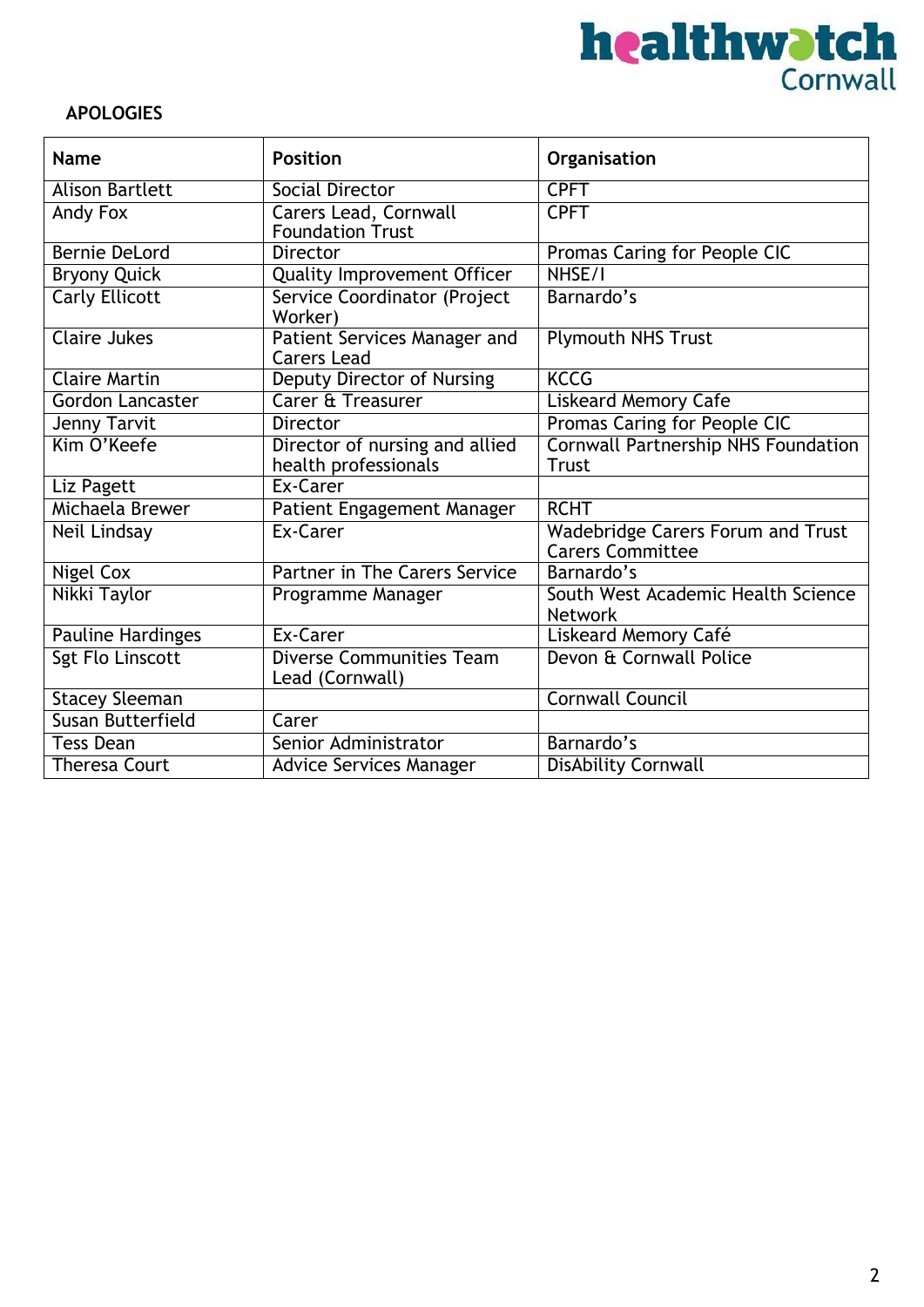

### **APOLOGIES**

| <b>Name</b>              | <b>Position</b>                                         | Organisation                                                        |
|--------------------------|---------------------------------------------------------|---------------------------------------------------------------------|
| <b>Alison Bartlett</b>   | Social Director                                         | <b>CPFT</b>                                                         |
| Andy Fox                 | <b>Carers Lead, Cornwall</b><br><b>Foundation Trust</b> | <b>CPFT</b>                                                         |
| <b>Bernie DeLord</b>     | <b>Director</b>                                         | Promas Caring for People CIC                                        |
| <b>Bryony Quick</b>      | Quality Improvement Officer                             | NHSE/I                                                              |
| <b>Carly Ellicott</b>    | Service Coordinator (Project<br>Worker)                 | Barnardo's                                                          |
| <b>Claire Jukes</b>      | Patient Services Manager and<br><b>Carers Lead</b>      | <b>Plymouth NHS Trust</b>                                           |
| <b>Claire Martin</b>     | <b>Deputy Director of Nursing</b>                       | <b>KCCG</b>                                                         |
| Gordon Lancaster         | <b>Carer &amp; Treasurer</b>                            | <b>Liskeard Memory Cafe</b>                                         |
| Jenny Tarvit             | <b>Director</b>                                         | Promas Caring for People CIC                                        |
| Kim O'Keefe              | Director of nursing and allied<br>health professionals  | <b>Cornwall Partnership NHS Foundation</b><br><b>Trust</b>          |
| Liz Pagett               | Ex-Carer                                                |                                                                     |
| Michaela Brewer          | Patient Engagement Manager                              | <b>RCHT</b>                                                         |
| Neil Lindsay             | Ex-Carer                                                | <b>Wadebridge Carers Forum and Trust</b><br><b>Carers Committee</b> |
| <b>Nigel Cox</b>         | <b>Partner in The Carers Service</b>                    | Barnardo's                                                          |
| Nikki Taylor             | Programme Manager                                       | South West Academic Health Science<br><b>Network</b>                |
| <b>Pauline Hardinges</b> | Ex-Carer                                                | Liskeard Memory Café                                                |
| <b>Sgt Flo Linscott</b>  | <b>Diverse Communities Team</b><br>Lead (Cornwall)      | Devon & Cornwall Police                                             |
| <b>Stacey Sleeman</b>    |                                                         | <b>Cornwall Council</b>                                             |
| Susan Butterfield        | Carer                                                   |                                                                     |
| <b>Tess Dean</b>         | Senior Administrator                                    | Barnardo's                                                          |
| <b>Theresa Court</b>     | <b>Advice Services Manager</b>                          | <b>DisAbility Cornwall</b>                                          |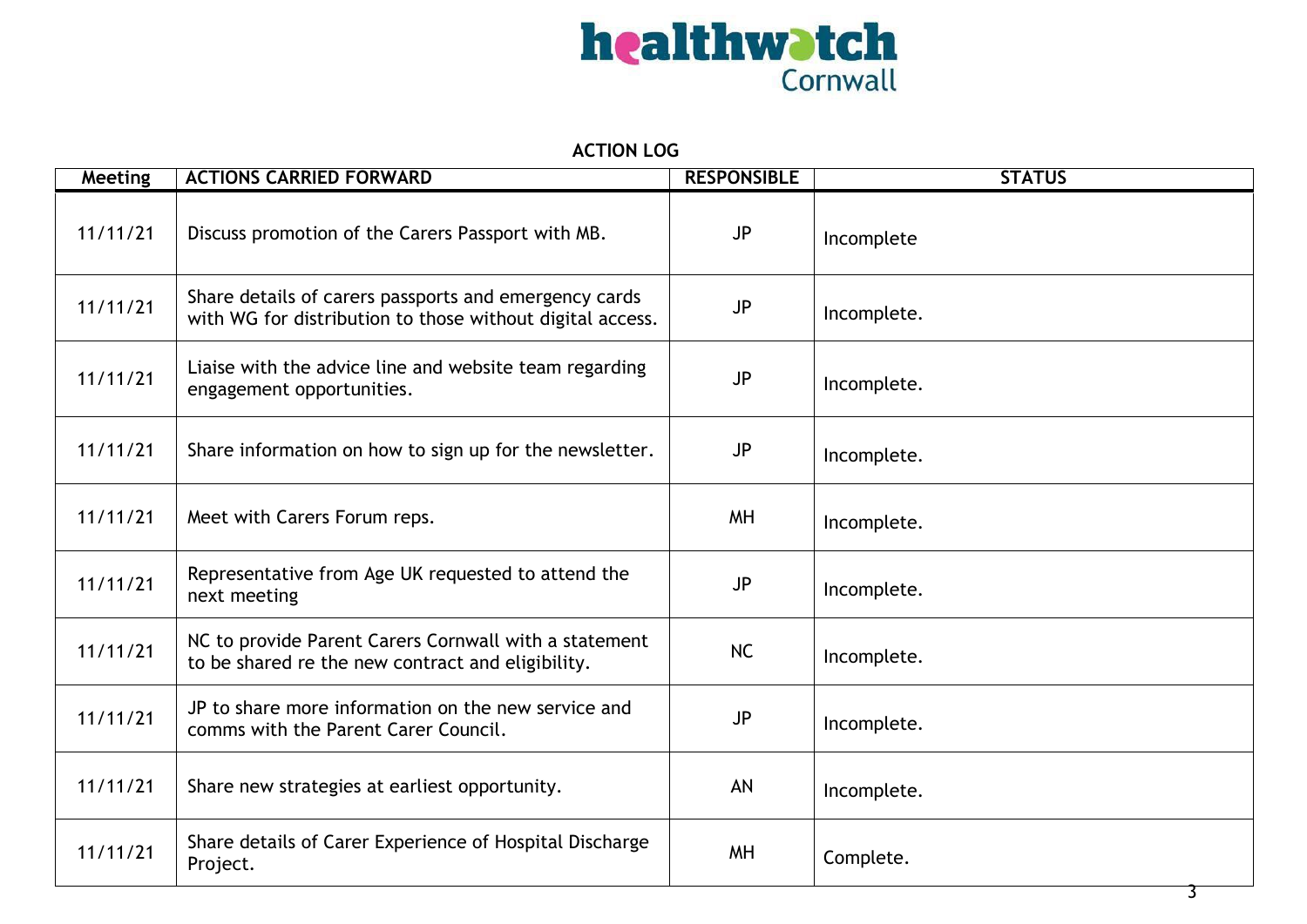

#### **ACTION LOG**

| <b>Meeting</b> | <b>ACTIONS CARRIED FORWARD</b>                                                                                     | <b>RESPONSIBLE</b> | <b>STATUS</b> |
|----------------|--------------------------------------------------------------------------------------------------------------------|--------------------|---------------|
| 11/11/21       | Discuss promotion of the Carers Passport with MB.                                                                  | <b>JP</b>          | Incomplete    |
| 11/11/21       | Share details of carers passports and emergency cards<br>with WG for distribution to those without digital access. | <b>JP</b>          | Incomplete.   |
| 11/11/21       | Liaise with the advice line and website team regarding<br>engagement opportunities.                                | JP                 | Incomplete.   |
| 11/11/21       | Share information on how to sign up for the newsletter.                                                            | <b>JP</b>          | Incomplete.   |
| 11/11/21       | Meet with Carers Forum reps.                                                                                       | <b>MH</b>          | Incomplete.   |
| 11/11/21       | Representative from Age UK requested to attend the<br>next meeting                                                 | JP                 | Incomplete.   |
| 11/11/21       | NC to provide Parent Carers Cornwall with a statement<br>to be shared re the new contract and eligibility.         | <b>NC</b>          | Incomplete.   |
| 11/11/21       | JP to share more information on the new service and<br>comms with the Parent Carer Council.                        | <b>JP</b>          | Incomplete.   |
| 11/11/21       | Share new strategies at earliest opportunity.                                                                      | AN                 | Incomplete.   |
| 11/11/21       | Share details of Carer Experience of Hospital Discharge<br>Project.                                                | <b>MH</b>          | Complete.     |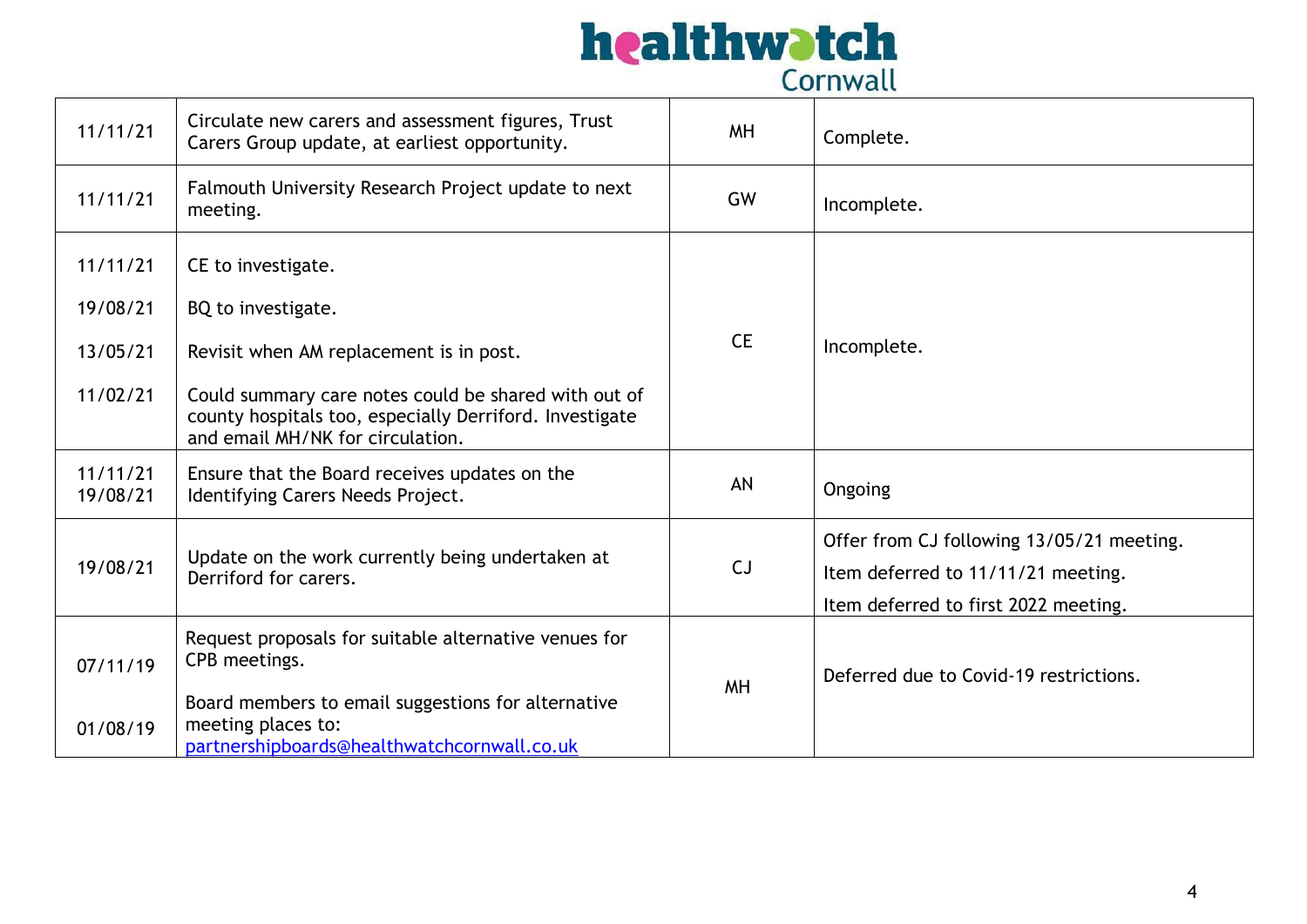

| 11/11/21             | Circulate new carers and assessment figures, Trust<br>Carers Group update, at earliest opportunity.                                                 | <b>MH</b> | Complete.                                                                                                               |
|----------------------|-----------------------------------------------------------------------------------------------------------------------------------------------------|-----------|-------------------------------------------------------------------------------------------------------------------------|
| 11/11/21             | Falmouth University Research Project update to next<br>meeting.                                                                                     | GW        | Incomplete.                                                                                                             |
| 11/11/21             | CE to investigate.                                                                                                                                  |           |                                                                                                                         |
| 19/08/21             | BQ to investigate.                                                                                                                                  |           |                                                                                                                         |
| 13/05/21             | Revisit when AM replacement is in post.                                                                                                             | <b>CE</b> | Incomplete.                                                                                                             |
| 11/02/21             | Could summary care notes could be shared with out of<br>county hospitals too, especially Derriford. Investigate<br>and email MH/NK for circulation. |           |                                                                                                                         |
| 11/11/21<br>19/08/21 | Ensure that the Board receives updates on the<br>Identifying Carers Needs Project.                                                                  | AN        | Ongoing                                                                                                                 |
| 19/08/21             | Update on the work currently being undertaken at<br>Derriford for carers.                                                                           | CJ        | Offer from CJ following 13/05/21 meeting.<br>Item deferred to 11/11/21 meeting.<br>Item deferred to first 2022 meeting. |
| 07/11/19             | Request proposals for suitable alternative venues for<br>CPB meetings.<br>Board members to email suggestions for alternative                        | <b>MH</b> | Deferred due to Covid-19 restrictions.                                                                                  |
| 01/08/19             | meeting places to:<br>partnershipboards@healthwatchcornwall.co.uk                                                                                   |           |                                                                                                                         |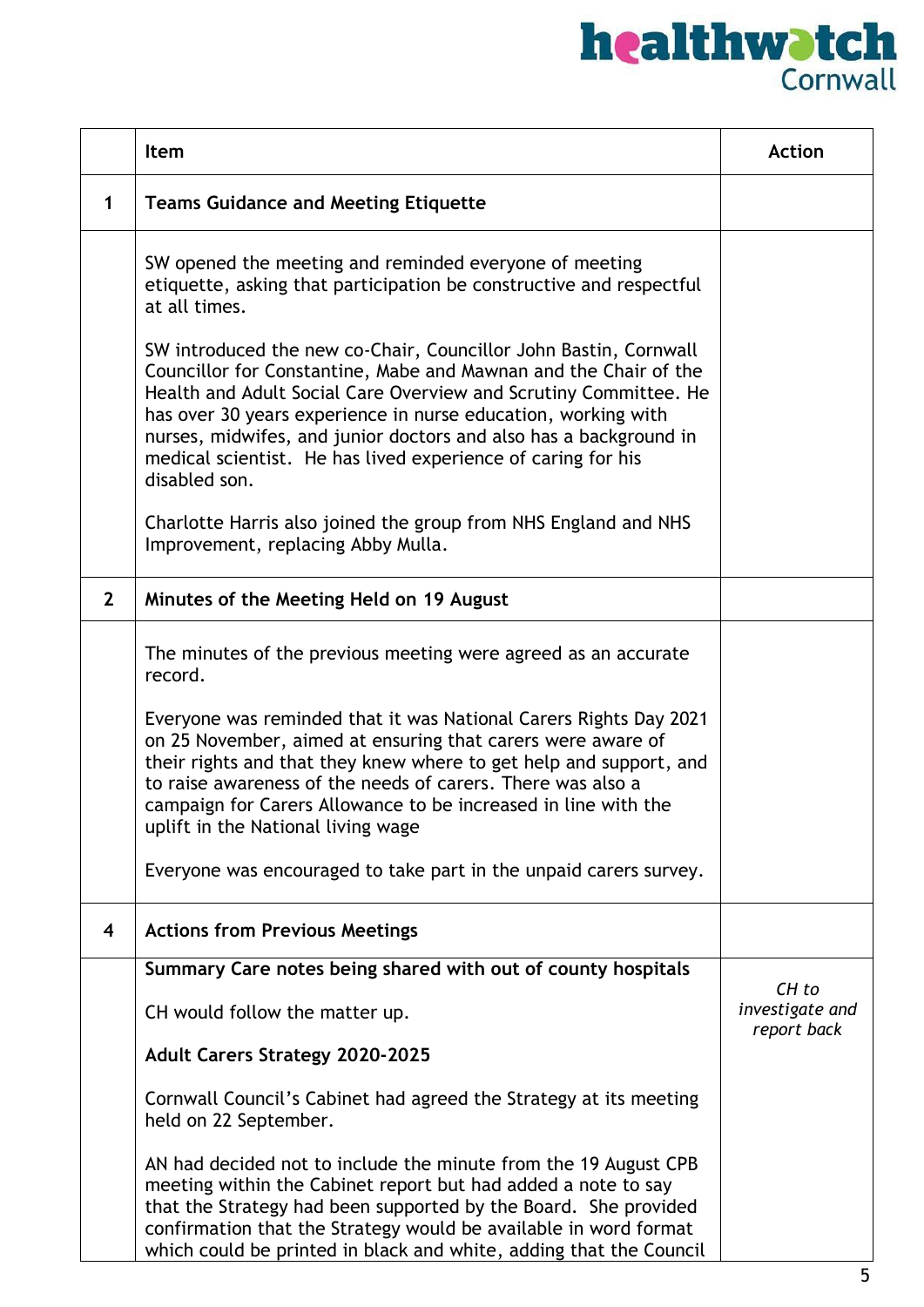|                | Item                                                                                                                                                                                                                                                                                                                                                                                                                            | <b>Action</b>                  |
|----------------|---------------------------------------------------------------------------------------------------------------------------------------------------------------------------------------------------------------------------------------------------------------------------------------------------------------------------------------------------------------------------------------------------------------------------------|--------------------------------|
| 1              | <b>Teams Guidance and Meeting Etiquette</b>                                                                                                                                                                                                                                                                                                                                                                                     |                                |
|                | SW opened the meeting and reminded everyone of meeting<br>etiquette, asking that participation be constructive and respectful<br>at all times.                                                                                                                                                                                                                                                                                  |                                |
|                | SW introduced the new co-Chair, Councillor John Bastin, Cornwall<br>Councillor for Constantine, Mabe and Mawnan and the Chair of the<br>Health and Adult Social Care Overview and Scrutiny Committee. He<br>has over 30 years experience in nurse education, working with<br>nurses, midwifes, and junior doctors and also has a background in<br>medical scientist. He has lived experience of caring for his<br>disabled son. |                                |
|                | Charlotte Harris also joined the group from NHS England and NHS<br>Improvement, replacing Abby Mulla.                                                                                                                                                                                                                                                                                                                           |                                |
| $\overline{2}$ | Minutes of the Meeting Held on 19 August                                                                                                                                                                                                                                                                                                                                                                                        |                                |
|                | The minutes of the previous meeting were agreed as an accurate<br>record.                                                                                                                                                                                                                                                                                                                                                       |                                |
|                | Everyone was reminded that it was National Carers Rights Day 2021<br>on 25 November, aimed at ensuring that carers were aware of<br>their rights and that they knew where to get help and support, and<br>to raise awareness of the needs of carers. There was also a<br>campaign for Carers Allowance to be increased in line with the<br>uplift in the National living wage                                                   |                                |
|                | Everyone was encouraged to take part in the unpaid carers survey.                                                                                                                                                                                                                                                                                                                                                               |                                |
| 4              | <b>Actions from Previous Meetings</b>                                                                                                                                                                                                                                                                                                                                                                                           |                                |
|                | Summary Care notes being shared with out of county hospitals                                                                                                                                                                                                                                                                                                                                                                    | CH to                          |
|                | CH would follow the matter up.                                                                                                                                                                                                                                                                                                                                                                                                  | investigate and<br>report back |
|                | <b>Adult Carers Strategy 2020-2025</b>                                                                                                                                                                                                                                                                                                                                                                                          |                                |
|                | Cornwall Council's Cabinet had agreed the Strategy at its meeting<br>held on 22 September.                                                                                                                                                                                                                                                                                                                                      |                                |
|                | AN had decided not to include the minute from the 19 August CPB<br>meeting within the Cabinet report but had added a note to say<br>that the Strategy had been supported by the Board. She provided<br>confirmation that the Strategy would be available in word format<br>which could be printed in black and white, adding that the Council                                                                                   |                                |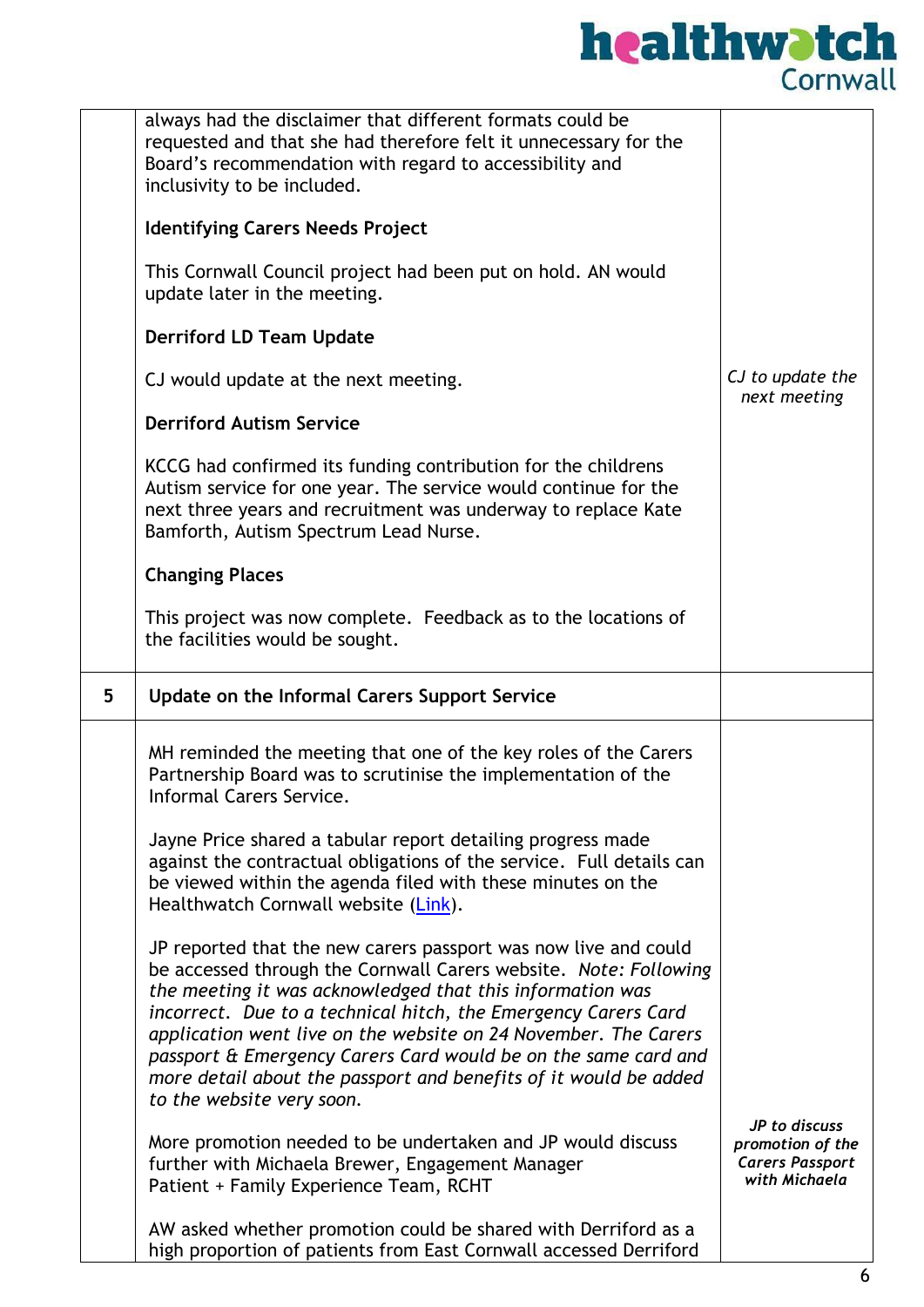

|   | always had the disclaimer that different formats could be<br>requested and that she had therefore felt it unnecessary for the<br>Board's recommendation with regard to accessibility and<br>inclusivity to be included.                                                                                                                                                                                                                                                                                  |                                                                              |
|---|----------------------------------------------------------------------------------------------------------------------------------------------------------------------------------------------------------------------------------------------------------------------------------------------------------------------------------------------------------------------------------------------------------------------------------------------------------------------------------------------------------|------------------------------------------------------------------------------|
|   | <b>Identifying Carers Needs Project</b>                                                                                                                                                                                                                                                                                                                                                                                                                                                                  |                                                                              |
|   | This Cornwall Council project had been put on hold. AN would<br>update later in the meeting.                                                                                                                                                                                                                                                                                                                                                                                                             |                                                                              |
|   | <b>Derriford LD Team Update</b>                                                                                                                                                                                                                                                                                                                                                                                                                                                                          |                                                                              |
|   | CJ would update at the next meeting.                                                                                                                                                                                                                                                                                                                                                                                                                                                                     | CJ to update the<br>next meeting                                             |
|   | <b>Derriford Autism Service</b>                                                                                                                                                                                                                                                                                                                                                                                                                                                                          |                                                                              |
|   | KCCG had confirmed its funding contribution for the childrens<br>Autism service for one year. The service would continue for the<br>next three years and recruitment was underway to replace Kate<br>Bamforth, Autism Spectrum Lead Nurse.                                                                                                                                                                                                                                                               |                                                                              |
|   | <b>Changing Places</b>                                                                                                                                                                                                                                                                                                                                                                                                                                                                                   |                                                                              |
|   | This project was now complete. Feedback as to the locations of<br>the facilities would be sought.                                                                                                                                                                                                                                                                                                                                                                                                        |                                                                              |
| 5 | <b>Update on the Informal Carers Support Service</b>                                                                                                                                                                                                                                                                                                                                                                                                                                                     |                                                                              |
|   | MH reminded the meeting that one of the key roles of the Carers<br>Partnership Board was to scrutinise the implementation of the<br><b>Informal Carers Service</b>                                                                                                                                                                                                                                                                                                                                       |                                                                              |
|   | Jayne Price shared a tabular report detailing progress made<br>against the contractual obligations of the service. Full details can<br>be viewed within the agenda filed with these minutes on the<br>Healthwatch Cornwall website (Link).                                                                                                                                                                                                                                                               |                                                                              |
|   | JP reported that the new carers passport was now live and could<br>be accessed through the Cornwall Carers website. Note: Following<br>the meeting it was acknowledged that this information was<br>incorrect. Due to a technical hitch, the Emergency Carers Card<br>application went live on the website on 24 November. The Carers<br>passport & Emergency Carers Card would be on the same card and<br>more detail about the passport and benefits of it would be added<br>to the website very soon. |                                                                              |
|   | More promotion needed to be undertaken and JP would discuss<br>further with Michaela Brewer, Engagement Manager<br>Patient + Family Experience Team, RCHT                                                                                                                                                                                                                                                                                                                                                | JP to discuss<br>promotion of the<br><b>Carers Passport</b><br>with Michaela |
|   | AW asked whether promotion could be shared with Derriford as a<br>high proportion of patients from East Cornwall accessed Derriford                                                                                                                                                                                                                                                                                                                                                                      |                                                                              |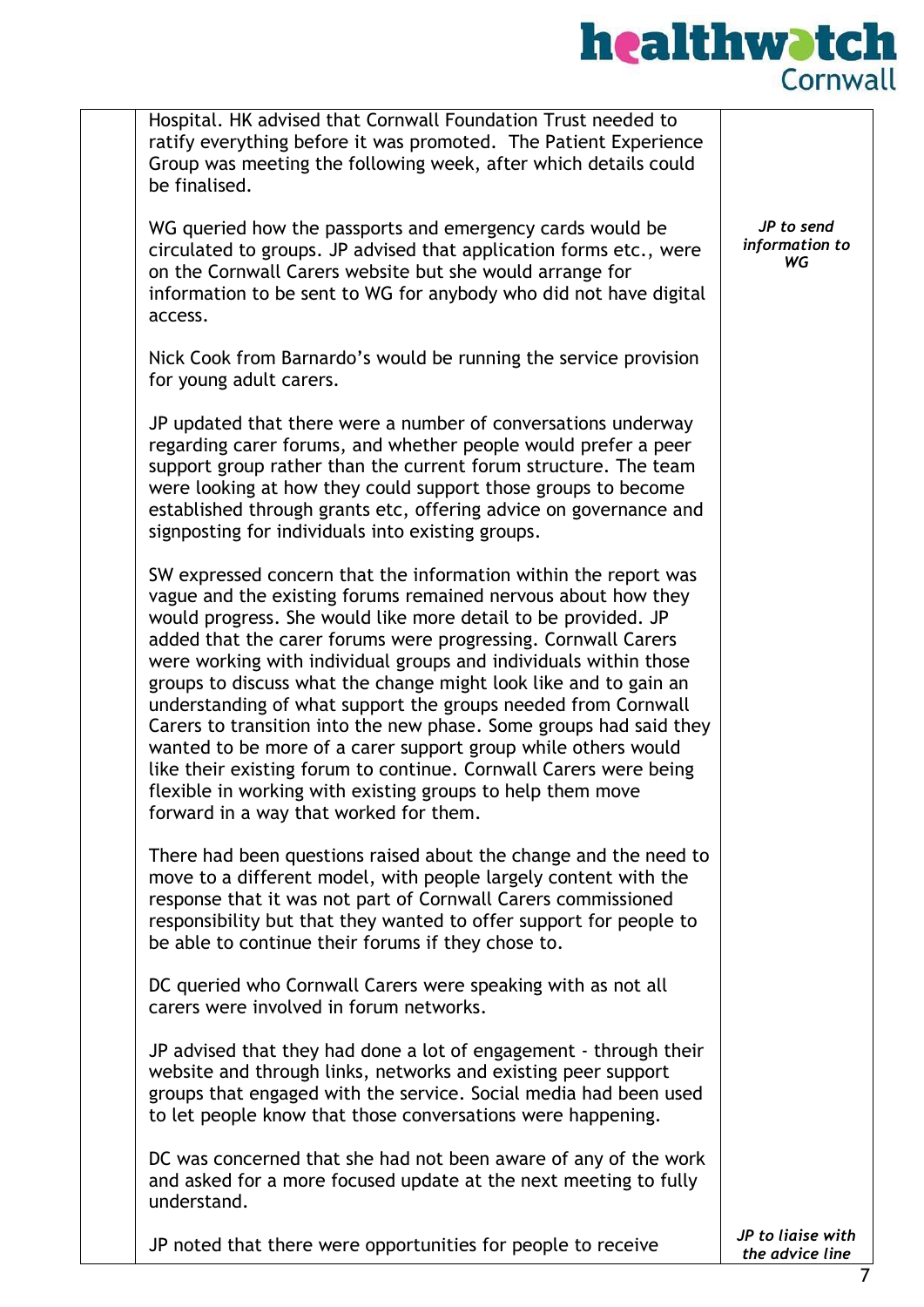### healthwatch Cornwall

Hospital. HK advised that Cornwall Foundation Trust needed to ratify everything before it was promoted. The Patient Experience Group was meeting the following week, after which details could be finalised. WG queried how the passports and emergency cards would be circulated to groups. JP advised that application forms etc., were on the Cornwall Carers website but she would arrange for information to be sent to WG for anybody who did not have digital access. Nick Cook from Barnardo's would be running the service provision for young adult carers. JP updated that there were a number of conversations underway regarding carer forums, and whether people would prefer a peer support group rather than the current forum structure. The team were looking at how they could support those groups to become established through grants etc, offering advice on governance and signposting for individuals into existing groups. SW expressed concern that the information within the report was vague and the existing forums remained nervous about how they would progress. She would like more detail to be provided. JP added that the carer forums were progressing. Cornwall Carers were working with individual groups and individuals within those groups to discuss what the change might look like and to gain an understanding of what support the groups needed from Cornwall Carers to transition into the new phase. Some groups had said they wanted to be more of a carer support group while others would like their existing forum to continue. Cornwall Carers were being flexible in working with existing groups to help them move forward in a way that worked for them. There had been questions raised about the change and the need to move to a different model, with people largely content with the response that it was not part of Cornwall Carers commissioned responsibility but that they wanted to offer support for people to be able to continue their forums if they chose to. DC queried who Cornwall Carers were speaking with as not all carers were involved in forum networks. JP advised that they had done a lot of engagement - through their website and through links, networks and existing peer support groups that engaged with the service. Social media had been used to let people know that those conversations were happening. DC was concerned that she had not been aware of any of the work and asked for a more focused update at the next meeting to fully understand. JP noted that there were opportunities for people to receive *JP to send information to WG JP to liaise with*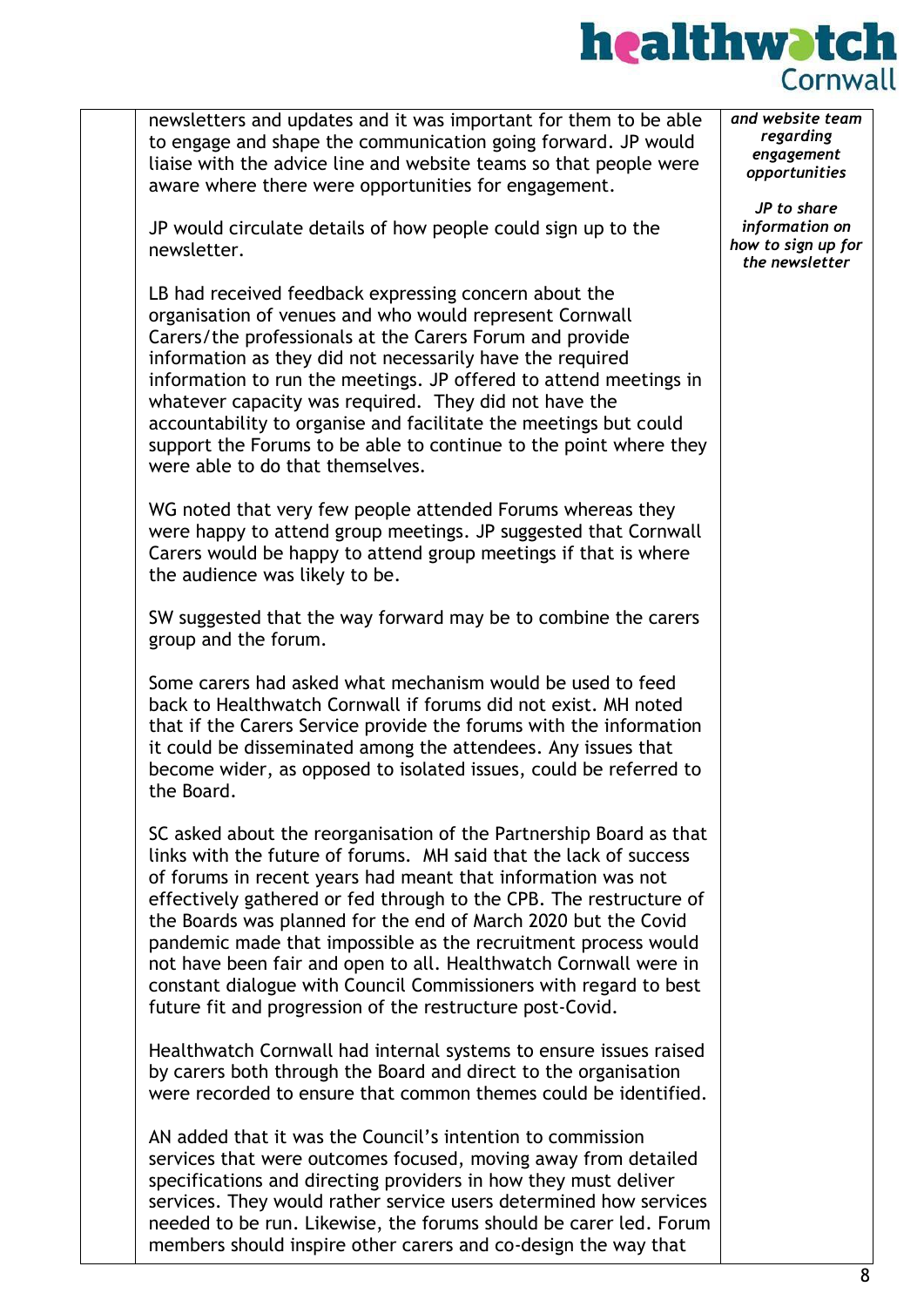### healthwatch Cornwall

newsletters and updates and it was important for them to be able to engage and shape the communication going forward. JP would liaise with the advice line and website teams so that people were aware where there were opportunities for engagement. JP would circulate details of how people could sign up to the newsletter. LB had received feedback expressing concern about the organisation of venues and who would represent Cornwall Carers/the professionals at the Carers Forum and provide information as they did not necessarily have the required information to run the meetings. JP offered to attend meetings in whatever capacity was required. They did not have the accountability to organise and facilitate the meetings but could support the Forums to be able to continue to the point where they were able to do that themselves. WG noted that very few people attended Forums whereas they were happy to attend group meetings. JP suggested that Cornwall Carers would be happy to attend group meetings if that is where the audience was likely to be. SW suggested that the way forward may be to combine the carers group and the forum. Some carers had asked what mechanism would be used to feed back to Healthwatch Cornwall if forums did not exist. MH noted that if the Carers Service provide the forums with the information it could be disseminated among the attendees. Any issues that become wider, as opposed to isolated issues, could be referred to the Board. SC asked about the reorganisation of the Partnership Board as that links with the future of forums. MH said that the lack of success of forums in recent years had meant that information was not effectively gathered or fed through to the CPB. The restructure of the Boards was planned for the end of March 2020 but the Covid pandemic made that impossible as the recruitment process would not have been fair and open to all. Healthwatch Cornwall were in constant dialogue with Council Commissioners with regard to best future fit and progression of the restructure post-Covid. Healthwatch Cornwall had internal systems to ensure issues raised by carers both through the Board and direct to the organisation were recorded to ensure that common themes could be identified. AN added that it was the Council's intention to commission services that were outcomes focused, moving away from detailed specifications and directing providers in how they must deliver services. They would rather service users determined how services needed to be run. Likewise, the forums should be carer led. Forum members should inspire other carers and co-design the way that *and website team regarding engagement opportunities JP to share information on how to sign up for the newsletter*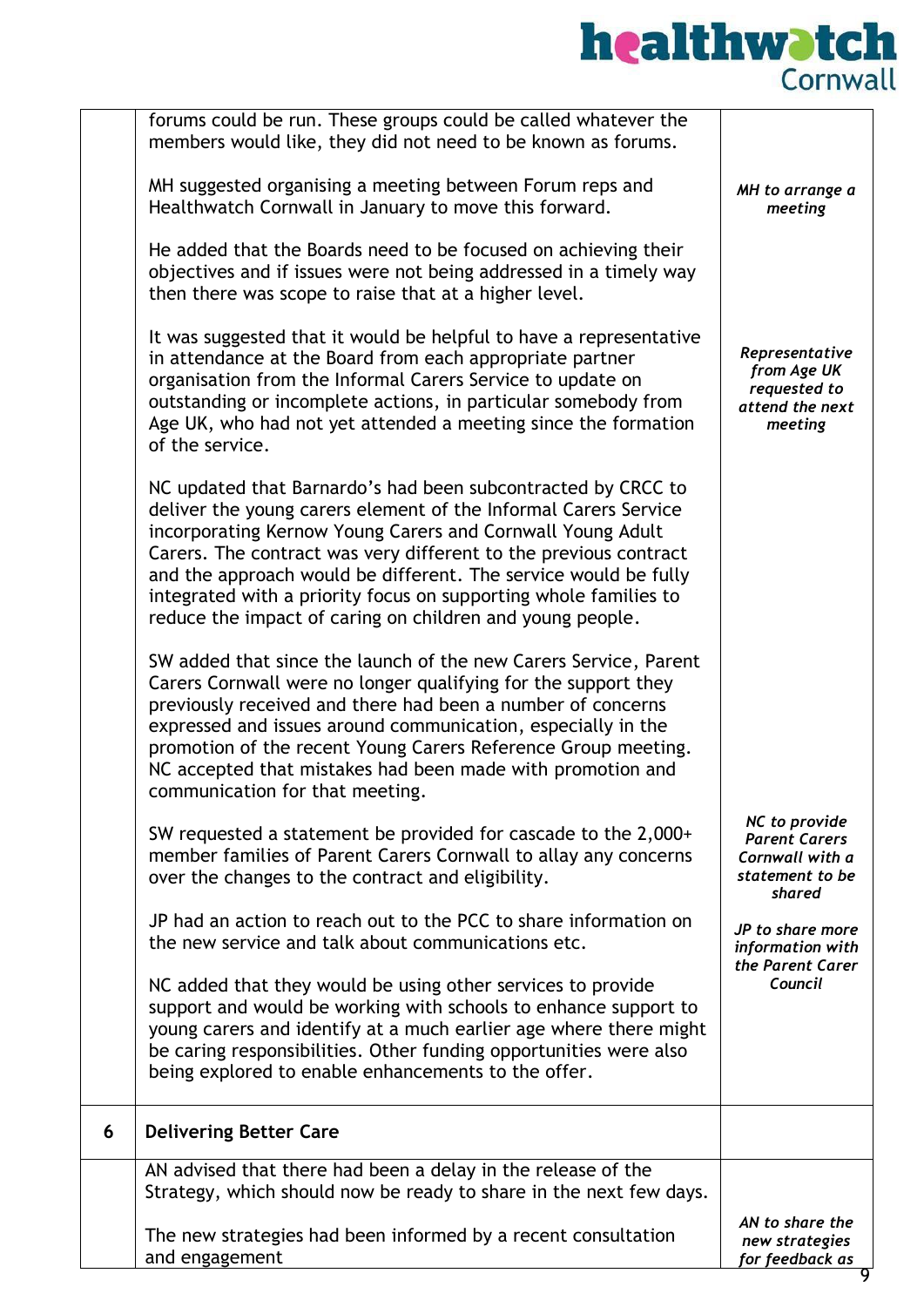|   | The new strategies had been informed by a recent consultation<br>and engagement                                                                                                                                                                                                                                                                                                                                                                                       | AN to share the<br>new strategies<br>for feedback as                                  |
|---|-----------------------------------------------------------------------------------------------------------------------------------------------------------------------------------------------------------------------------------------------------------------------------------------------------------------------------------------------------------------------------------------------------------------------------------------------------------------------|---------------------------------------------------------------------------------------|
|   | AN advised that there had been a delay in the release of the<br>Strategy, which should now be ready to share in the next few days.                                                                                                                                                                                                                                                                                                                                    |                                                                                       |
| 6 | <b>Delivering Better Care</b>                                                                                                                                                                                                                                                                                                                                                                                                                                         |                                                                                       |
|   | NC added that they would be using other services to provide<br>support and would be working with schools to enhance support to<br>young carers and identify at a much earlier age where there might<br>be caring responsibilities. Other funding opportunities were also<br>being explored to enable enhancements to the offer.                                                                                                                                       | Council                                                                               |
|   | JP had an action to reach out to the PCC to share information on<br>the new service and talk about communications etc.                                                                                                                                                                                                                                                                                                                                                | JP to share more<br>information with<br>the Parent Carer                              |
|   | SW requested a statement be provided for cascade to the 2,000+<br>member families of Parent Carers Cornwall to allay any concerns<br>over the changes to the contract and eligibility.                                                                                                                                                                                                                                                                                | NC to provide<br><b>Parent Carers</b><br>Cornwall with a<br>statement to be<br>shared |
|   | SW added that since the launch of the new Carers Service, Parent<br>Carers Cornwall were no longer qualifying for the support they<br>previously received and there had been a number of concerns<br>expressed and issues around communication, especially in the<br>promotion of the recent Young Carers Reference Group meeting.<br>NC accepted that mistakes had been made with promotion and<br>communication for that meeting.                                   |                                                                                       |
|   | NC updated that Barnardo's had been subcontracted by CRCC to<br>deliver the young carers element of the Informal Carers Service<br>incorporating Kernow Young Carers and Cornwall Young Adult<br>Carers. The contract was very different to the previous contract<br>and the approach would be different. The service would be fully<br>integrated with a priority focus on supporting whole families to<br>reduce the impact of caring on children and young people. |                                                                                       |
|   | It was suggested that it would be helpful to have a representative<br>in attendance at the Board from each appropriate partner<br>organisation from the Informal Carers Service to update on<br>outstanding or incomplete actions, in particular somebody from<br>Age UK, who had not yet attended a meeting since the formation<br>of the service.                                                                                                                   | Representative<br>from Age UK<br>requested to<br>attend the next<br>meeting           |
|   | He added that the Boards need to be focused on achieving their<br>objectives and if issues were not being addressed in a timely way<br>then there was scope to raise that at a higher level.                                                                                                                                                                                                                                                                          |                                                                                       |
|   | MH suggested organising a meeting between Forum reps and<br>Healthwatch Cornwall in January to move this forward.                                                                                                                                                                                                                                                                                                                                                     | MH to arrange a<br>meeting                                                            |
|   | forums could be run. These groups could be called whatever the<br>members would like, they did not need to be known as forums.                                                                                                                                                                                                                                                                                                                                        |                                                                                       |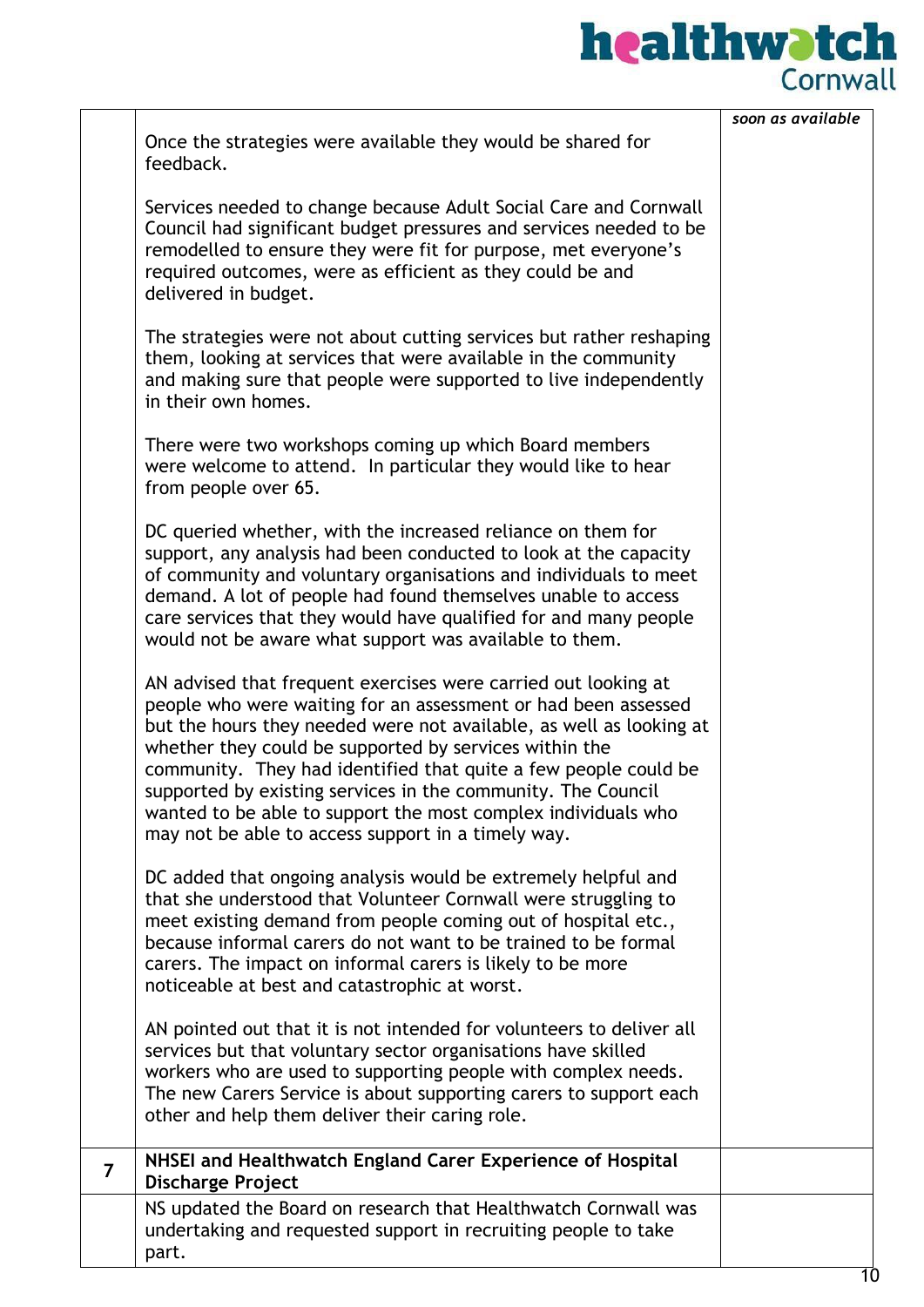|                         |                                                                                                                                                                                                                                                                                                                                                                                                                                                                                                                             | soon as available |
|-------------------------|-----------------------------------------------------------------------------------------------------------------------------------------------------------------------------------------------------------------------------------------------------------------------------------------------------------------------------------------------------------------------------------------------------------------------------------------------------------------------------------------------------------------------------|-------------------|
|                         | Once the strategies were available they would be shared for<br>feedback.                                                                                                                                                                                                                                                                                                                                                                                                                                                    |                   |
|                         | Services needed to change because Adult Social Care and Cornwall<br>Council had significant budget pressures and services needed to be<br>remodelled to ensure they were fit for purpose, met everyone's<br>required outcomes, were as efficient as they could be and<br>delivered in budget.                                                                                                                                                                                                                               |                   |
|                         | The strategies were not about cutting services but rather reshaping<br>them, looking at services that were available in the community<br>and making sure that people were supported to live independently<br>in their own homes.                                                                                                                                                                                                                                                                                            |                   |
|                         | There were two workshops coming up which Board members<br>were welcome to attend. In particular they would like to hear<br>from people over 65.                                                                                                                                                                                                                                                                                                                                                                             |                   |
|                         | DC queried whether, with the increased reliance on them for<br>support, any analysis had been conducted to look at the capacity<br>of community and voluntary organisations and individuals to meet<br>demand. A lot of people had found themselves unable to access<br>care services that they would have qualified for and many people<br>would not be aware what support was available to them.                                                                                                                          |                   |
|                         | AN advised that frequent exercises were carried out looking at<br>people who were waiting for an assessment or had been assessed<br>but the hours they needed were not available, as well as looking at<br>whether they could be supported by services within the<br>community. They had identified that quite a few people could be<br>supported by existing services in the community. The Council<br>wanted to be able to support the most complex individuals who<br>may not be able to access support in a timely way. |                   |
|                         | DC added that ongoing analysis would be extremely helpful and<br>that she understood that Volunteer Cornwall were struggling to<br>meet existing demand from people coming out of hospital etc.,<br>because informal carers do not want to be trained to be formal<br>carers. The impact on informal carers is likely to be more<br>noticeable at best and catastrophic at worst.                                                                                                                                           |                   |
|                         | AN pointed out that it is not intended for volunteers to deliver all<br>services but that voluntary sector organisations have skilled<br>workers who are used to supporting people with complex needs.<br>The new Carers Service is about supporting carers to support each<br>other and help them deliver their caring role.                                                                                                                                                                                               |                   |
| $\overline{\mathbf{z}}$ | NHSEI and Healthwatch England Carer Experience of Hospital<br><b>Discharge Project</b>                                                                                                                                                                                                                                                                                                                                                                                                                                      |                   |
|                         | NS updated the Board on research that Healthwatch Cornwall was<br>undertaking and requested support in recruiting people to take<br>part.                                                                                                                                                                                                                                                                                                                                                                                   |                   |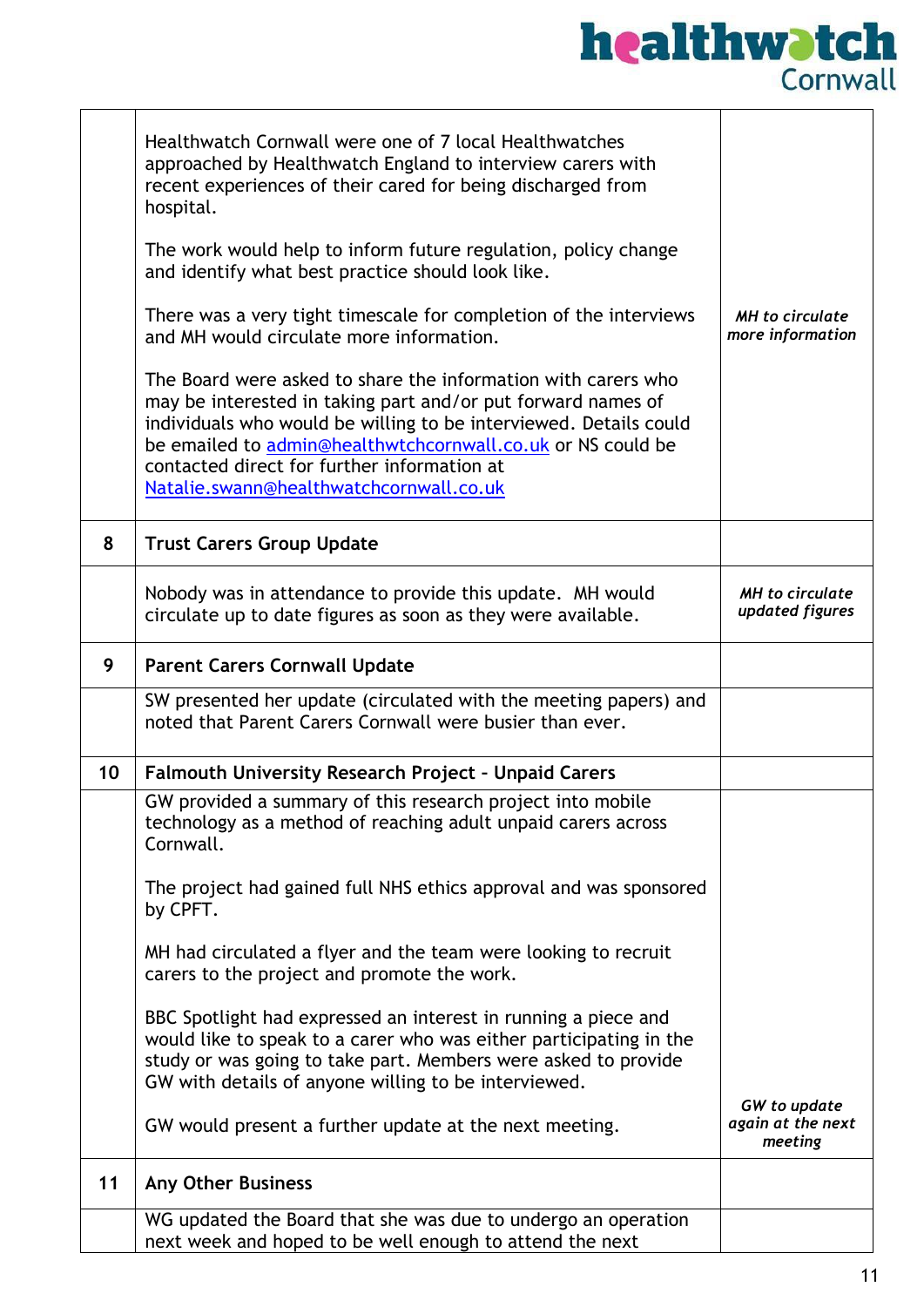## **healthwatch**<br>Cornwall

|    | Healthwatch Cornwall were one of 7 local Healthwatches<br>approached by Healthwatch England to interview carers with<br>recent experiences of their cared for being discharged from<br>hospital.<br>The work would help to inform future regulation, policy change<br>and identify what best practice should look like.<br>There was a very tight timescale for completion of the interviews<br>and MH would circulate more information.<br>The Board were asked to share the information with carers who<br>may be interested in taking part and/or put forward names of<br>individuals who would be willing to be interviewed. Details could<br>be emailed to admin@healthwtchcornwall.co.uk or NS could be<br>contacted direct for further information at<br>Natalie.swann@healthwatchcornwall.co.uk | <b>MH</b> to circulate<br>more information          |
|----|---------------------------------------------------------------------------------------------------------------------------------------------------------------------------------------------------------------------------------------------------------------------------------------------------------------------------------------------------------------------------------------------------------------------------------------------------------------------------------------------------------------------------------------------------------------------------------------------------------------------------------------------------------------------------------------------------------------------------------------------------------------------------------------------------------|-----------------------------------------------------|
| 8  | <b>Trust Carers Group Update</b>                                                                                                                                                                                                                                                                                                                                                                                                                                                                                                                                                                                                                                                                                                                                                                        |                                                     |
|    | Nobody was in attendance to provide this update. MH would<br>circulate up to date figures as soon as they were available.                                                                                                                                                                                                                                                                                                                                                                                                                                                                                                                                                                                                                                                                               | <b>MH</b> to circulate<br>updated figures           |
| 9  | <b>Parent Carers Cornwall Update</b>                                                                                                                                                                                                                                                                                                                                                                                                                                                                                                                                                                                                                                                                                                                                                                    |                                                     |
|    | SW presented her update (circulated with the meeting papers) and<br>noted that Parent Carers Cornwall were busier than ever.                                                                                                                                                                                                                                                                                                                                                                                                                                                                                                                                                                                                                                                                            |                                                     |
| 10 | <b>Falmouth University Research Project - Unpaid Carers</b>                                                                                                                                                                                                                                                                                                                                                                                                                                                                                                                                                                                                                                                                                                                                             |                                                     |
|    | GW provided a summary of this research project into mobile<br>technology as a method of reaching adult unpaid carers across<br>Cornwall.                                                                                                                                                                                                                                                                                                                                                                                                                                                                                                                                                                                                                                                                |                                                     |
|    | The project had gained full NHS ethics approval and was sponsored<br>by CPFT.                                                                                                                                                                                                                                                                                                                                                                                                                                                                                                                                                                                                                                                                                                                           |                                                     |
|    | MH had circulated a flyer and the team were looking to recruit<br>carers to the project and promote the work.                                                                                                                                                                                                                                                                                                                                                                                                                                                                                                                                                                                                                                                                                           |                                                     |
|    | BBC Spotlight had expressed an interest in running a piece and<br>would like to speak to a carer who was either participating in the<br>study or was going to take part. Members were asked to provide<br>GW with details of anyone willing to be interviewed.                                                                                                                                                                                                                                                                                                                                                                                                                                                                                                                                          |                                                     |
|    | GW would present a further update at the next meeting.                                                                                                                                                                                                                                                                                                                                                                                                                                                                                                                                                                                                                                                                                                                                                  | <b>GW</b> to update<br>again at the next<br>meeting |
| 11 | <b>Any Other Business</b>                                                                                                                                                                                                                                                                                                                                                                                                                                                                                                                                                                                                                                                                                                                                                                               |                                                     |
|    | WG updated the Board that she was due to undergo an operation<br>next week and hoped to be well enough to attend the next                                                                                                                                                                                                                                                                                                                                                                                                                                                                                                                                                                                                                                                                               |                                                     |